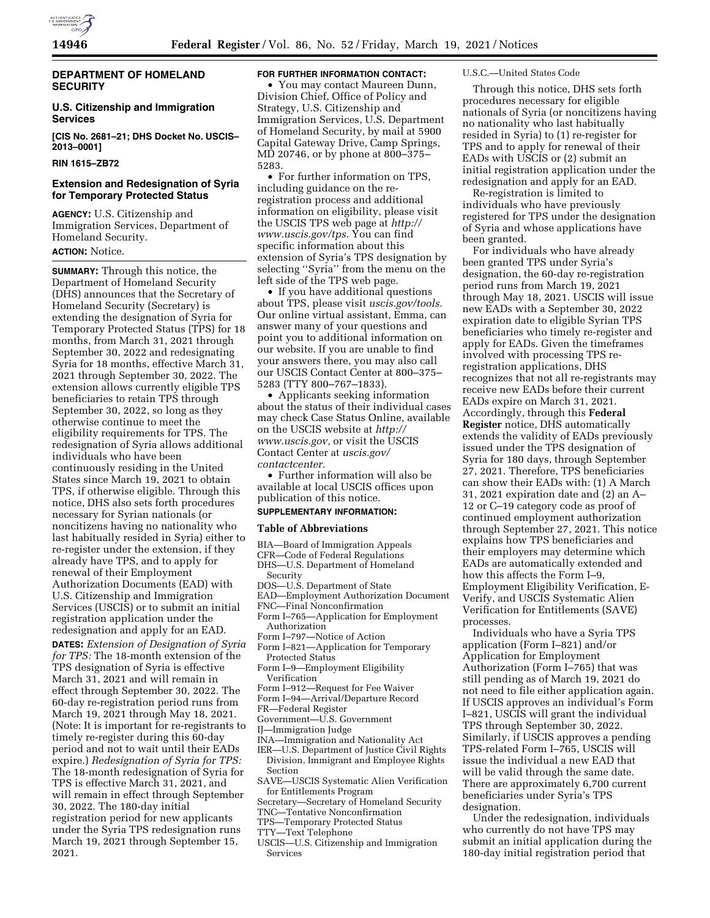

### **DEPARTMENT OF HOMELAND SECURITY**

## **U.S. Citizenship and Immigration Services**

**[CIS No. 2681–21; DHS Docket No. USCIS– 2013–0001]** 

### **RIN 1615–ZB72**

## **Extension and Redesignation of Syria for Temporary Protected Status**

**AGENCY:** U.S. Citizenship and Immigration Services, Department of Homeland Security. **ACTION:** Notice.

**SUMMARY:** Through this notice, the Department of Homeland Security (DHS) announces that the Secretary of Homeland Security (Secretary) is extending the designation of Syria for Temporary Protected Status (TPS) for 18 months, from March 31, 2021 through September 30, 2022 and redesignating Syria for 18 months, effective March 31, 2021 through September 30, 2022. The extension allows currently eligible TPS beneficiaries to retain TPS through September 30, 2022, so long as they otherwise continue to meet the eligibility requirements for TPS. The redesignation of Syria allows additional individuals who have been continuously residing in the United States since March 19, 2021 to obtain TPS, if otherwise eligible. Through this notice, DHS also sets forth procedures necessary for Syrian nationals (or noncitizens having no nationality who last habitually resided in Syria) either to re-register under the extension, if they already have TPS, and to apply for renewal of their Employment Authorization Documents (EAD) with U.S. Citizenship and Immigration Services (USCIS) or to submit an initial registration application under the redesignation and apply for an EAD.

**DATES:** *Extension of Designation of Syria for TPS:* The 18-month extension of the TPS designation of Syria is effective March 31, 2021 and will remain in effect through September 30, 2022. The 60-day re-registration period runs from March 19, 2021 through May 18, 2021. (Note: It is important for re-registrants to timely re-register during this 60-day period and not to wait until their EADs expire.) *Redesignation of Syria for TPS:*  The 18-month redesignation of Syria for TPS is effective March 31, 2021, and will remain in effect through September 30, 2022. The 180-day initial registration period for new applicants under the Syria TPS redesignation runs March 19, 2021 through September 15, 2021.

# **FOR FURTHER INFORMATION CONTACT:**

• You may contact Maureen Dunn, Division Chief, Office of Policy and Strategy, U.S. Citizenship and Immigration Services, U.S. Department of Homeland Security, by mail at 5900 Capital Gateway Drive, Camp Springs, MD 20746, or by phone at 800–375– 5283.

• For further information on TPS, including guidance on the reregistration process and additional information on eligibility, please visit the USCIS TPS web page at *[http://](http://www.uscis.gov/tps) [www.uscis.gov/tps.](http://www.uscis.gov/tps)* You can find specific information about this extension of Syria's TPS designation by selecting ''Syria'' from the menu on the left side of the TPS web page.

• If you have additional questions about TPS, please visit *uscis.gov/tools.*  Our online virtual assistant, Emma, can answer many of your questions and point you to additional information on our website. If you are unable to find your answers there, you may also call our USCIS Contact Center at 800–375– 5283 (TTY 800–767–1833).

• Applicants seeking information about the status of their individual cases may check Case Status Online, available on the USCIS website at *[http://](http://www.uscis.gov) [www.uscis.gov,](http://www.uscis.gov)* or visit the USCIS Contact Center at *uscis.gov/ contactcenter.* 

• Further information will also be available at local USCIS offices upon publication of this notice.

# **SUPPLEMENTARY INFORMATION:**

#### **Table of Abbreviations**

- BIA—Board of Immigration Appeals
- CFR—Code of Federal Regulations
- DHS—U.S. Department of Homeland
- Security
- DOS—U.S. Department of State
- EAD—Employment Authorization Document
- FNC—Final Nonconfirmation
- Form I–765—Application for Employment Authorization
- Form I–797—Notice of Action
- Form I–821—Application for Temporary Protected Status
- Form I–9—Employment Eligibility Verification
- Form I–912—Request for Fee Waiver
- Form I–94—Arrival/Departure Record
- FR—Federal Register
- Government—U.S. Government
- IJ—Immigration Judge
- 
- INA—Immigration and Nationality Act IER—U.S. Department of Justice Civil Rights
- Division, Immigrant and Employee Rights Section
- SAVE—USCIS Systematic Alien Verification for Entitlements Program
- Secretary—Secretary of Homeland Security
- TNC—Tentative Nonconfirmation
- TPS—Temporary Protected Status
- TTY—Text Telephone
- USCIS—U.S. Citizenship and Immigration Services

#### U.S.C.—United States Code

Through this notice, DHS sets forth procedures necessary for eligible nationals of Syria (or noncitizens having no nationality who last habitually resided in Syria) to (1) re-register for TPS and to apply for renewal of their EADs with USCIS or (2) submit an initial registration application under the redesignation and apply for an EAD.

Re-registration is limited to individuals who have previously registered for TPS under the designation of Syria and whose applications have been granted.

For individuals who have already been granted TPS under Syria's designation, the 60-day re-registration period runs from March 19, 2021 through May 18, 2021. USCIS will issue new EADs with a September 30, 2022 expiration date to eligible Syrian TPS beneficiaries who timely re-register and apply for EADs. Given the timeframes involved with processing TPS reregistration applications, DHS recognizes that not all re-registrants may receive new EADs before their current EADs expire on March 31, 2021. Accordingly, through this **Federal Register** notice, DHS automatically extends the validity of EADs previously issued under the TPS designation of Syria for 180 days, through September 27, 2021. Therefore, TPS beneficiaries can show their EADs with: (1) A March 31, 2021 expiration date and (2) an A– 12 or C–19 category code as proof of continued employment authorization through September 27, 2021. This notice explains how TPS beneficiaries and their employers may determine which EADs are automatically extended and how this affects the Form I–9, Employment Eligibility Verification, E-Verify, and USCIS Systematic Alien Verification for Entitlements (SAVE) processes.

Individuals who have a Syria TPS application (Form I–821) and/or Application for Employment Authorization (Form I–765) that was still pending as of March 19, 2021 do not need to file either application again. If USCIS approves an individual's Form I–821, USCIS will grant the individual TPS through September 30, 2022. Similarly, if USCIS approves a pending TPS-related Form I–765, USCIS will issue the individual a new EAD that will be valid through the same date. There are approximately 6,700 current beneficiaries under Syria's TPS designation.

Under the redesignation, individuals who currently do not have TPS may submit an initial application during the 180-day initial registration period that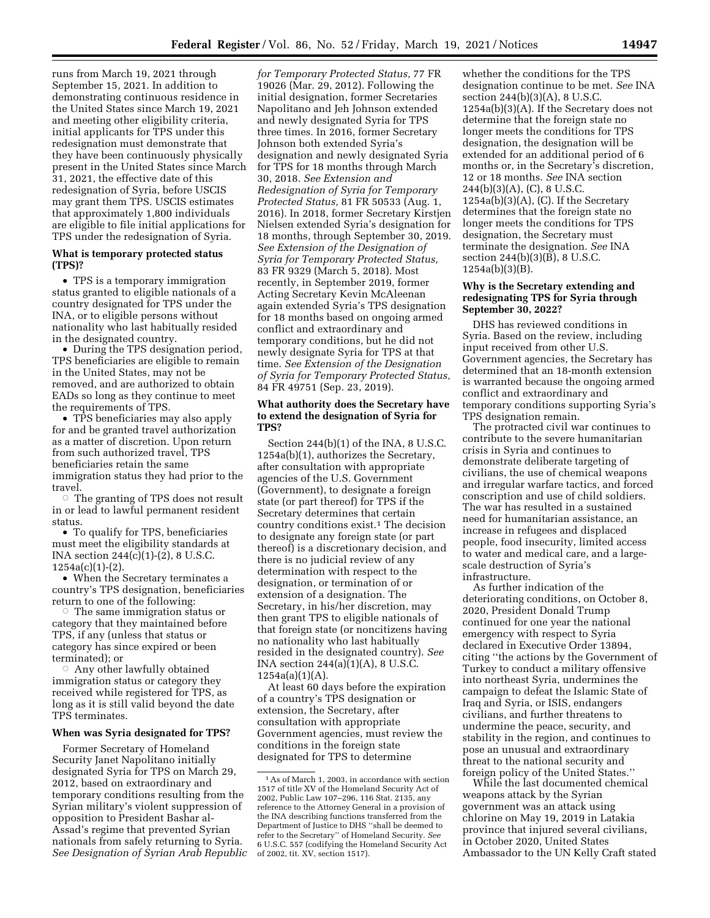runs from March 19, 2021 through September 15, 2021. In addition to demonstrating continuous residence in the United States since March 19, 2021 and meeting other eligibility criteria, initial applicants for TPS under this redesignation must demonstrate that they have been continuously physically present in the United States since March 31, 2021, the effective date of this redesignation of Syria, before USCIS may grant them TPS. USCIS estimates that approximately 1,800 individuals are eligible to file initial applications for TPS under the redesignation of Syria.

### **What is temporary protected status (TPS)?**

• TPS is a temporary immigration status granted to eligible nationals of a country designated for TPS under the INA, or to eligible persons without nationality who last habitually resided in the designated country.

• During the TPS designation period, TPS beneficiaries are eligible to remain in the United States, may not be removed, and are authorized to obtain EADs so long as they continue to meet the requirements of TPS.

• TPS beneficiaries may also apply for and be granted travel authorization as a matter of discretion. Upon return from such authorized travel, TPS beneficiaries retain the same immigration status they had prior to the travel.

 $\circ$  The granting of TPS does not result in or lead to lawful permanent resident status.

• To qualify for TPS, beneficiaries must meet the eligibility standards at INA section 244(c)(1)-(2), 8 U.S.C. 1254a(c)(1)-(2).

• When the Secretary terminates a country's TPS designation, beneficiaries return to one of the following:

 $\circ$  The same immigration status or category that they maintained before TPS, if any (unless that status or category has since expired or been terminated); or

 $\circ$  Any other lawfully obtained immigration status or category they received while registered for TPS, as long as it is still valid beyond the date TPS terminates.

#### **When was Syria designated for TPS?**

Former Secretary of Homeland Security Janet Napolitano initially designated Syria for TPS on March 29, 2012, based on extraordinary and temporary conditions resulting from the Syrian military's violent suppression of opposition to President Bashar al-Assad's regime that prevented Syrian nationals from safely returning to Syria. *See Designation of Syrian Arab Republic* 

*for Temporary Protected Status,* 77 FR 19026 (Mar. 29, 2012). Following the initial designation, former Secretaries Napolitano and Jeh Johnson extended and newly designated Syria for TPS three times. In 2016, former Secretary Johnson both extended Syria's designation and newly designated Syria for TPS for 18 months through March 30, 2018. *See Extension and Redesignation of Syria for Temporary Protected Status,* 81 FR 50533 (Aug. 1, 2016). In 2018, former Secretary Kirstjen Nielsen extended Syria's designation for 18 months, through September 30, 2019. *See Extension of the Designation of Syria for Temporary Protected Status,*  83 FR 9329 (March 5, 2018). Most recently, in September 2019, former Acting Secretary Kevin McAleenan again extended Syria's TPS designation for 18 months based on ongoing armed conflict and extraordinary and temporary conditions, but he did not newly designate Syria for TPS at that time. *See Extension of the Designation of Syria for Temporary Protected Status,*  84 FR 49751 (Sep. 23, 2019).

### **What authority does the Secretary have to extend the designation of Syria for TPS?**

Section 244(b)(1) of the INA, 8 U.S.C. 1254a(b)(1), authorizes the Secretary, after consultation with appropriate agencies of the U.S. Government (Government), to designate a foreign state (or part thereof) for TPS if the Secretary determines that certain country conditions exist.1 The decision to designate any foreign state (or part thereof) is a discretionary decision, and there is no judicial review of any determination with respect to the designation, or termination of or extension of a designation. The Secretary, in his/her discretion, may then grant TPS to eligible nationals of that foreign state (or noncitizens having no nationality who last habitually resided in the designated country). *See*  INA section 244(a)(1)(A), 8 U.S.C.  $1254a(a)(1)(A)$ .

At least 60 days before the expiration of a country's TPS designation or extension, the Secretary, after consultation with appropriate Government agencies, must review the conditions in the foreign state designated for TPS to determine

whether the conditions for the TPS designation continue to be met. *See* INA section 244(b)(3)(A), 8 U.S.C. 1254a(b)(3)(A). If the Secretary does not determine that the foreign state no longer meets the conditions for TPS designation, the designation will be extended for an additional period of 6 months or, in the Secretary's discretion, 12 or 18 months. *See* INA section 244(b)(3)(A), (C), 8 U.S.C.  $1254a(b)(3)(A)$ , (C). If the Secretary determines that the foreign state no longer meets the conditions for TPS designation, the Secretary must terminate the designation. *See* INA section 244(b)(3)(B), 8 U.S.C. 1254a(b)(3)(B).

## **Why is the Secretary extending and redesignating TPS for Syria through September 30, 2022?**

DHS has reviewed conditions in Syria. Based on the review, including input received from other U.S. Government agencies, the Secretary has determined that an 18-month extension is warranted because the ongoing armed conflict and extraordinary and temporary conditions supporting Syria's TPS designation remain.

The protracted civil war continues to contribute to the severe humanitarian crisis in Syria and continues to demonstrate deliberate targeting of civilians, the use of chemical weapons and irregular warfare tactics, and forced conscription and use of child soldiers. The war has resulted in a sustained need for humanitarian assistance, an increase in refugees and displaced people, food insecurity, limited access to water and medical care, and a largescale destruction of Syria's infrastructure.

As further indication of the deteriorating conditions, on October 8, 2020, President Donald Trump continued for one year the national emergency with respect to Syria declared in Executive Order 13894, citing ''the actions by the Government of Turkey to conduct a military offensive into northeast Syria, undermines the campaign to defeat the Islamic State of Iraq and Syria, or ISIS, endangers civilians, and further threatens to undermine the peace, security, and stability in the region, and continues to pose an unusual and extraordinary threat to the national security and foreign policy of the United States.''

While the last documented chemical weapons attack by the Syrian government was an attack using chlorine on May 19, 2019 in Latakia province that injured several civilians, in October 2020, United States Ambassador to the UN Kelly Craft stated

<sup>1</sup>As of March 1, 2003, in accordance with section 1517 of title XV of the Homeland Security Act of 2002, Public Law 107–296, 116 Stat. 2135, any reference to the Attorney General in a provision of the INA describing functions transferred from the Department of Justice to DHS ''shall be deemed to refer to the Secretary'' of Homeland Security. *See*  6 U.S.C. 557 (codifying the Homeland Security Act of 2002, tit. XV, section 1517).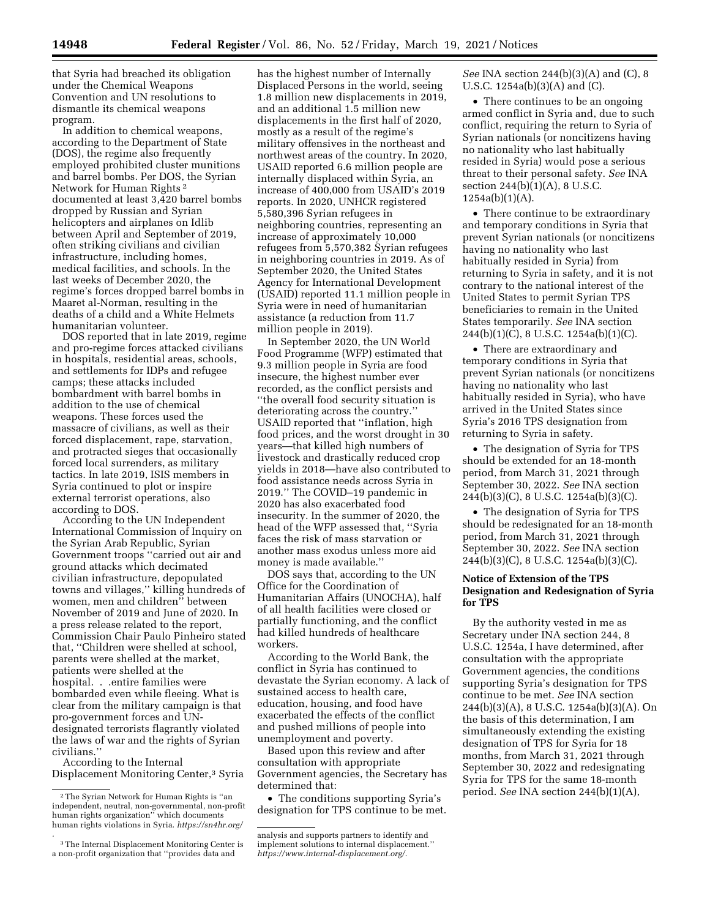that Syria had breached its obligation under the Chemical Weapons Convention and UN resolutions to dismantle its chemical weapons program.

In addition to chemical weapons, according to the Department of State (DOS), the regime also frequently employed prohibited cluster munitions and barrel bombs. Per DOS, the Syrian Network for Human Rights 2 documented at least 3,420 barrel bombs dropped by Russian and Syrian helicopters and airplanes on Idlib between April and September of 2019, often striking civilians and civilian infrastructure, including homes, medical facilities, and schools. In the last weeks of December 2020, the regime's forces dropped barrel bombs in Maaret al-Norman, resulting in the deaths of a child and a White Helmets humanitarian volunteer.

DOS reported that in late 2019, regime and pro-regime forces attacked civilians in hospitals, residential areas, schools, and settlements for IDPs and refugee camps; these attacks included bombardment with barrel bombs in addition to the use of chemical weapons. These forces used the massacre of civilians, as well as their forced displacement, rape, starvation, and protracted sieges that occasionally forced local surrenders, as military tactics. In late 2019, ISIS members in Syria continued to plot or inspire external terrorist operations, also according to DOS.

According to the UN Independent International Commission of Inquiry on the Syrian Arab Republic, Syrian Government troops ''carried out air and ground attacks which decimated civilian infrastructure, depopulated towns and villages,'' killing hundreds of women, men and children'' between November of 2019 and June of 2020. In a press release related to the report, Commission Chair Paulo Pinheiro stated that, ''Children were shelled at school, parents were shelled at the market, patients were shelled at the hospital. . .entire families were bombarded even while fleeing. What is clear from the military campaign is that pro-government forces and UNdesignated terrorists flagrantly violated the laws of war and the rights of Syrian civilians.''

According to the Internal Displacement Monitoring Center,3 Syria

*.* 

has the highest number of Internally Displaced Persons in the world, seeing 1.8 million new displacements in 2019, and an additional 1.5 million new displacements in the first half of 2020, mostly as a result of the regime's military offensives in the northeast and northwest areas of the country. In 2020, USAID reported 6.6 million people are internally displaced within Syria, an increase of 400,000 from USAID's 2019 reports. In 2020, UNHCR registered 5,580,396 Syrian refugees in neighboring countries, representing an increase of approximately 10,000 refugees from 5,570,382 Syrian refugees in neighboring countries in 2019. As of September 2020, the United States Agency for International Development (USAID) reported 11.1 million people in Syria were in need of humanitarian assistance (a reduction from 11.7 million people in 2019).

In September 2020, the UN World Food Programme (WFP) estimated that 9.3 million people in Syria are food insecure, the highest number ever recorded, as the conflict persists and ''the overall food security situation is deteriorating across the country.'' USAID reported that ''inflation, high food prices, and the worst drought in 30 years—that killed high numbers of livestock and drastically reduced crop yields in 2018—have also contributed to food assistance needs across Syria in 2019.'' The COVID–19 pandemic in 2020 has also exacerbated food insecurity. In the summer of 2020, the head of the WFP assessed that, ''Syria faces the risk of mass starvation or another mass exodus unless more aid money is made available.''

DOS says that, according to the UN Office for the Coordination of Humanitarian Affairs (UNOCHA), half of all health facilities were closed or partially functioning, and the conflict had killed hundreds of healthcare workers.

According to the World Bank, the conflict in Syria has continued to devastate the Syrian economy. A lack of sustained access to health care, education, housing, and food have exacerbated the effects of the conflict and pushed millions of people into unemployment and poverty.

Based upon this review and after consultation with appropriate Government agencies, the Secretary has determined that:

• The conditions supporting Syria's designation for TPS continue to be met. *See* INA section 244(b)(3)(A) and (C), 8 U.S.C. 1254a(b)(3)(A) and (C).

• There continues to be an ongoing armed conflict in Syria and, due to such conflict, requiring the return to Syria of Syrian nationals (or noncitizens having no nationality who last habitually resided in Syria) would pose a serious threat to their personal safety. *See* INA section 244(b)(1)(A), 8 U.S.C. 1254a(b)(1)(A).

• There continue to be extraordinary and temporary conditions in Syria that prevent Syrian nationals (or noncitizens having no nationality who last habitually resided in Syria) from returning to Syria in safety, and it is not contrary to the national interest of the United States to permit Syrian TPS beneficiaries to remain in the United States temporarily. *See* INA section 244(b)(1)(C), 8 U.S.C. 1254a(b)(1)(C).

• There are extraordinary and temporary conditions in Syria that prevent Syrian nationals (or noncitizens having no nationality who last habitually resided in Syria), who have arrived in the United States since Syria's 2016 TPS designation from returning to Syria in safety.

• The designation of Syria for TPS should be extended for an 18-month period, from March 31, 2021 through September 30, 2022. *See* INA section 244(b)(3)(C), 8 U.S.C. 1254a(b)(3)(C).

• The designation of Syria for TPS should be redesignated for an 18-month period, from March 31, 2021 through September 30, 2022. *See* INA section 244(b)(3)(C), 8 U.S.C. 1254a(b)(3)(C).

# **Notice of Extension of the TPS Designation and Redesignation of Syria for TPS**

By the authority vested in me as Secretary under INA section 244, 8 U.S.C. 1254a, I have determined, after consultation with the appropriate Government agencies, the conditions supporting Syria's designation for TPS continue to be met. *See* INA section 244(b)(3)(A), 8 U.S.C. 1254a(b)(3)(A). On the basis of this determination, I am simultaneously extending the existing designation of TPS for Syria for 18 months, from March 31, 2021 through September 30, 2022 and redesignating Syria for TPS for the same 18-month period. *See* INA section 244(b)(1)(A),

 $^{\rm 2}$  The Syrian Network for Human Rights is ''an independent, neutral, non-governmental, non-profit human rights organization'' which documents human rights violations in Syria. *<https://sn4hr.org/>* 

<sup>3</sup>The Internal Displacement Monitoring Center is a non-profit organization that ''provides data and

analysis and supports partners to identify and implement solutions to internal displacement.'' *<https://www.internal-displacement.org/>*.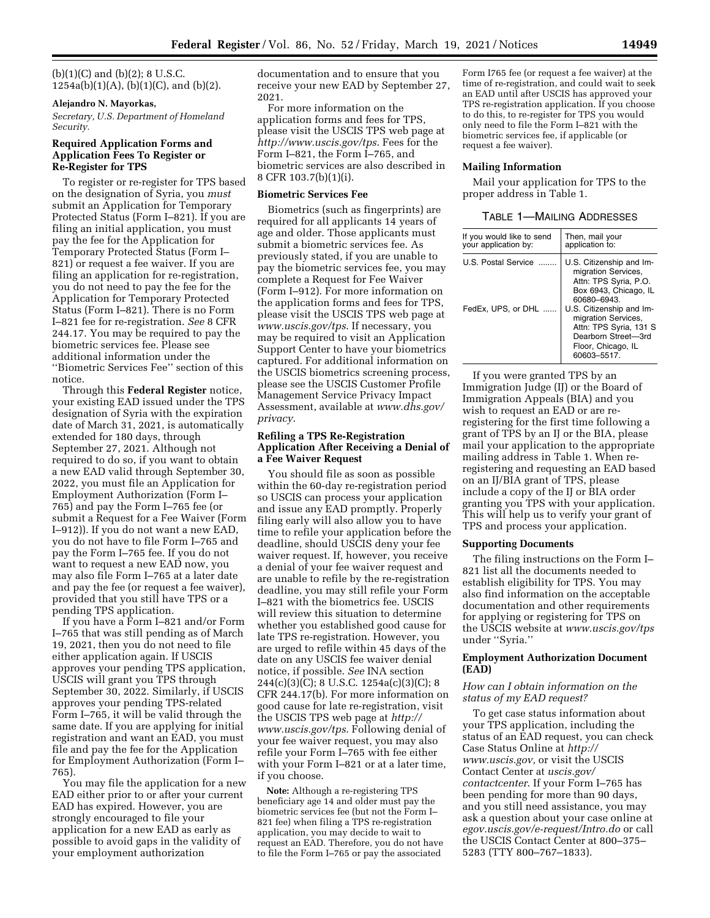$(b)(1)(C)$  and  $(b)(2)$ ; 8 U.S.C.  $1254a(b)(1)(A), (b)(1)(C), and (b)(2).$ 

### **Alejandro N. Mayorkas,**

*Secretary, U.S. Department of Homeland Security.* 

## **Required Application Forms and Application Fees To Register or Re-Register for TPS**

To register or re-register for TPS based on the designation of Syria, you *must*  submit an Application for Temporary Protected Status (Form I–821). If you are filing an initial application, you must pay the fee for the Application for Temporary Protected Status (Form I– 821) or request a fee waiver. If you are filing an application for re-registration, you do not need to pay the fee for the Application for Temporary Protected Status (Form I–821). There is no Form I–821 fee for re-registration. *See* 8 CFR 244.17. You may be required to pay the biometric services fee. Please see additional information under the ''Biometric Services Fee'' section of this notice.

Through this **Federal Register** notice, your existing EAD issued under the TPS designation of Syria with the expiration date of March 31, 2021, is automatically extended for 180 days, through September 27, 2021. Although not required to do so, if you want to obtain a new EAD valid through September 30, 2022, you must file an Application for Employment Authorization (Form I– 765) and pay the Form I–765 fee (or submit a Request for a Fee Waiver (Form I–912)). If you do not want a new EAD, you do not have to file Form I–765 and pay the Form I–765 fee. If you do not want to request a new EAD now, you may also file Form I–765 at a later date and pay the fee (or request a fee waiver), provided that you still have TPS or a pending TPS application.

If you have a Form I–821 and/or Form I–765 that was still pending as of March 19, 2021, then you do not need to file either application again. If USCIS approves your pending TPS application, USCIS will grant you TPS through September 30, 2022. Similarly, if USCIS approves your pending TPS-related Form I–765, it will be valid through the same date. If you are applying for initial registration and want an EAD, you must file and pay the fee for the Application for Employment Authorization (Form I– 765).

You may file the application for a new EAD either prior to or after your current EAD has expired. However, you are strongly encouraged to file your application for a new EAD as early as possible to avoid gaps in the validity of your employment authorization

documentation and to ensure that you receive your new EAD by September 27, 2021.

For more information on the application forms and fees for TPS, please visit the USCIS TPS web page at *<http://www.uscis.gov/tps>*. Fees for the Form I–821, the Form I–765, and biometric services are also described in 8 CFR 103.7(b)(1)(i).

#### **Biometric Services Fee**

Biometrics (such as fingerprints) are required for all applicants 14 years of age and older. Those applicants must submit a biometric services fee. As previously stated, if you are unable to pay the biometric services fee, you may complete a Request for Fee Waiver (Form I–912). For more information on the application forms and fees for TPS, please visit the USCIS TPS web page at *[www.uscis.gov/tps](http://www.uscis.gov/tps)*. If necessary, you may be required to visit an Application Support Center to have your biometrics captured. For additional information on the USCIS biometrics screening process, please see the USCIS Customer Profile Management Service Privacy Impact Assessment, available at *[www.dhs.gov/](http://www.dhs.gov/privacy) [privacy](http://www.dhs.gov/privacy)*.

### **Refiling a TPS Re-Registration Application After Receiving a Denial of a Fee Waiver Request**

You should file as soon as possible within the 60-day re-registration period so USCIS can process your application and issue any EAD promptly. Properly filing early will also allow you to have time to refile your application before the deadline, should USCIS deny your fee waiver request. If, however, you receive a denial of your fee waiver request and are unable to refile by the re-registration deadline, you may still refile your Form I–821 with the biometrics fee. USCIS will review this situation to determine whether you established good cause for late TPS re-registration. However, you are urged to refile within 45 days of the date on any USCIS fee waiver denial notice, if possible. *See* INA section 244(c)(3)(C); 8 U.S.C. 1254a(c)(3)(C); 8 CFR 244.17(b). For more information on good cause for late re-registration, visit the USCIS TPS web page at *[http://](http://www.uscis.gov/tps) [www.uscis.gov/tps](http://www.uscis.gov/tps)*. Following denial of your fee waiver request, you may also refile your Form I–765 with fee either with your Form I–821 or at a later time, if you choose.

**Note:** Although a re-registering TPS beneficiary age 14 and older must pay the biometric services fee (but not the Form I– 821 fee) when filing a TPS re-registration application, you may decide to wait to request an EAD. Therefore, you do not have to file the Form I–765 or pay the associated

Form I765 fee (or request a fee waiver) at the time of re-registration, and could wait to seek an EAD until after USCIS has approved your TPS re-registration application. If you choose to do this, to re-register for TPS you would only need to file the Form I–821 with the biometric services fee, if applicable (or request a fee waiver).

#### **Mailing Information**

Mail your application for TPS to the proper address in Table 1.

### TABLE 1—MAILING ADDRESSES

| If you would like to send                 | Then, mail your                                                                                                                                                                                                                                          |
|-------------------------------------------|----------------------------------------------------------------------------------------------------------------------------------------------------------------------------------------------------------------------------------------------------------|
| your application by:                      | application to:                                                                                                                                                                                                                                          |
| U.S. Postal Service<br>FedEx, UPS, or DHL | U.S. Citizenship and Im-<br>migration Services,<br>Attn: TPS Syria, P.O.<br>Box 6943, Chicago, IL<br>60680-6943.<br>U.S. Citizenship and Im-<br>migration Services,<br>Attn: TPS Syria, 131 S<br>Dearborn Street-3rd<br>Floor, Chicago, IL<br>60603-5517 |

If you were granted TPS by an Immigration Judge (IJ) or the Board of Immigration Appeals (BIA) and you wish to request an EAD or are reregistering for the first time following a grant of TPS by an IJ or the BIA, please mail your application to the appropriate mailing address in Table 1. When reregistering and requesting an EAD based on an IJ/BIA grant of TPS, please include a copy of the IJ or BIA order granting you TPS with your application. This will help us to verify your grant of TPS and process your application.

#### **Supporting Documents**

The filing instructions on the Form I– 821 list all the documents needed to establish eligibility for TPS. You may also find information on the acceptable documentation and other requirements for applying or registering for TPS on the USCIS website at *[www.uscis.gov/tps](http://www.uscis.gov/tps)*  under ''Syria.''

## **Employment Authorization Document (EAD)**

### *How can I obtain information on the status of my EAD request?*

To get case status information about your TPS application, including the status of an EAD request, you can check Case Status Online at *[http://](http://www.uscis.gov) [www.uscis.gov,](http://www.uscis.gov)* or visit the USCIS Contact Center at *uscis.gov/ contactcenter*. If your Form I–765 has been pending for more than 90 days, and you still need assistance, you may ask a question about your case online at *egov.uscis.gov/e-request/Intro.do* or call the USCIS Contact Center at 800–375– 5283 (TTY 800–767–1833).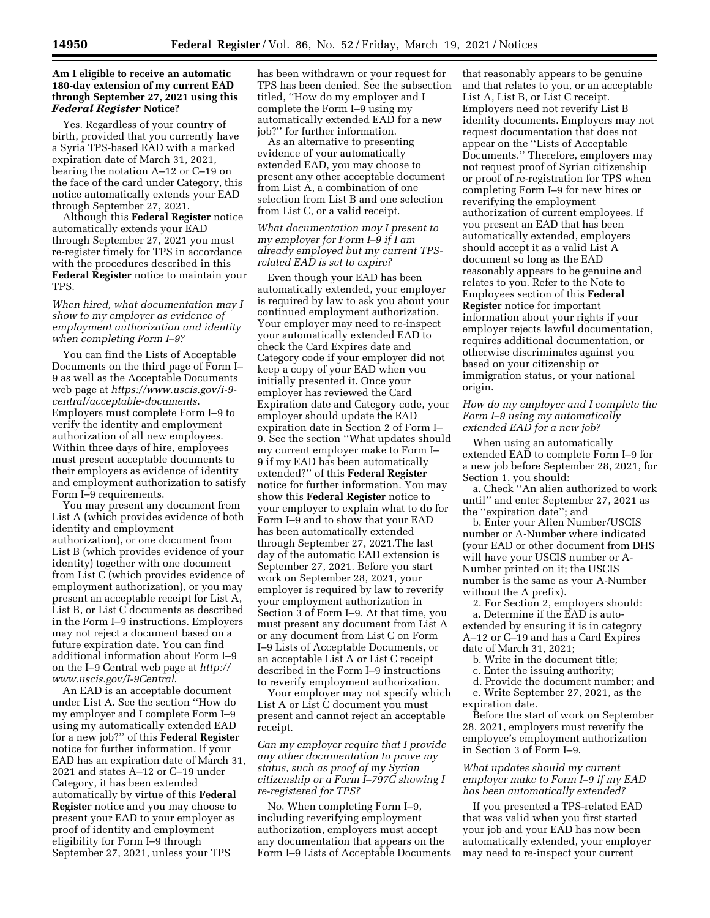### **Am I eligible to receive an automatic 180-day extension of my current EAD through September 27, 2021 using this**  *Federal Register* **Notice?**

Yes. Regardless of your country of birth, provided that you currently have a Syria TPS-based EAD with a marked expiration date of March 31, 2021, bearing the notation A–12 or C–19 on the face of the card under Category, this notice automatically extends your EAD through September 27, 2021.

Although this **Federal Register** notice automatically extends your EAD through September 27, 2021 you must re-register timely for TPS in accordance with the procedures described in this **Federal Register** notice to maintain your TPS.

*When hired, what documentation may I show to my employer as evidence of employment authorization and identity when completing Form I–9?* 

You can find the Lists of Acceptable Documents on the third page of Form I– 9 as well as the Acceptable Documents web page at *[https://www.uscis.gov/i-9](https://www.uscis.gov/i-9-central/acceptable-documents) [central/acceptable-documents](https://www.uscis.gov/i-9-central/acceptable-documents)*. Employers must complete Form I–9 to verify the identity and employment authorization of all new employees. Within three days of hire, employees must present acceptable documents to their employers as evidence of identity and employment authorization to satisfy Form I–9 requirements.

You may present any document from List A (which provides evidence of both identity and employment authorization), or one document from List B (which provides evidence of your identity) together with one document from List C (which provides evidence of employment authorization), or you may present an acceptable receipt for List A, List B, or List C documents as described in the Form I–9 instructions. Employers may not reject a document based on a future expiration date. You can find additional information about Form I–9 on the I–9 Central web page at *[http://](http://www.uscis.gov/I-9Central) [www.uscis.gov/I-9Central](http://www.uscis.gov/I-9Central)*.

An EAD is an acceptable document under List A. See the section ''How do my employer and I complete Form I–9 using my automatically extended EAD for a new job?'' of this **Federal Register**  notice for further information. If your EAD has an expiration date of March 31, 2021 and states A–12 or C–19 under Category, it has been extended automatically by virtue of this **Federal Register** notice and you may choose to present your EAD to your employer as proof of identity and employment eligibility for Form I–9 through September 27, 2021, unless your TPS

has been withdrawn or your request for TPS has been denied. See the subsection titled, ''How do my employer and I complete the Form I–9 using my automatically extended EAD for a new job?'' for further information.

As an alternative to presenting evidence of your automatically extended EAD, you may choose to present any other acceptable document from List A, a combination of one selection from List B and one selection from List C, or a valid receipt.

### *What documentation may I present to my employer for Form I–9 if I am already employed but my current TPSrelated EAD is set to expire?*

Even though your EAD has been automatically extended, your employer is required by law to ask you about your continued employment authorization. Your employer may need to re-inspect your automatically extended EAD to check the Card Expires date and Category code if your employer did not keep a copy of your EAD when you initially presented it. Once your employer has reviewed the Card Expiration date and Category code, your employer should update the EAD expiration date in Section 2 of Form I– 9. See the section ''What updates should my current employer make to Form I– 9 if my EAD has been automatically extended?'' of this **Federal Register**  notice for further information. You may show this **Federal Register** notice to your employer to explain what to do for Form I–9 and to show that your EAD has been automatically extended through September 27, 2021.The last day of the automatic EAD extension is September 27, 2021. Before you start work on September 28, 2021, your employer is required by law to reverify your employment authorization in Section 3 of Form I–9. At that time, you must present any document from List A or any document from List C on Form I–9 Lists of Acceptable Documents, or an acceptable List A or List C receipt described in the Form I–9 instructions to reverify employment authorization.

Your employer may not specify which List A or List C document you must present and cannot reject an acceptable receipt.

*Can my employer require that I provide any other documentation to prove my status, such as proof of my Syrian citizenship or a Form I–797C showing I re-registered for TPS?* 

No. When completing Form I–9, including reverifying employment authorization, employers must accept any documentation that appears on the Form I–9 Lists of Acceptable Documents

that reasonably appears to be genuine and that relates to you, or an acceptable List A, List B, or List C receipt. Employers need not reverify List B identity documents. Employers may not request documentation that does not appear on the ''Lists of Acceptable Documents.'' Therefore, employers may not request proof of Syrian citizenship or proof of re-registration for TPS when completing Form I–9 for new hires or reverifying the employment authorization of current employees. If you present an EAD that has been automatically extended, employers should accept it as a valid List A document so long as the EAD reasonably appears to be genuine and relates to you. Refer to the Note to Employees section of this **Federal Register** notice for important information about your rights if your employer rejects lawful documentation, requires additional documentation, or otherwise discriminates against you based on your citizenship or immigration status, or your national origin.

## *How do my employer and I complete the Form I–9 using my automatically extended EAD for a new job?*

When using an automatically extended EAD to complete Form I–9 for a new job before September 28, 2021, for Section 1, you should:

a. Check ''An alien authorized to work until'' and enter September 27, 2021 as the ''expiration date''; and

b. Enter your Alien Number/USCIS number or A-Number where indicated (your EAD or other document from DHS will have your USCIS number or A-Number printed on it; the USCIS number is the same as your A-Number without the A prefix).

2. For Section 2, employers should: a. Determine if the EAD is autoextended by ensuring it is in category A–12 or C–19 and has a Card Expires date of March 31, 2021;

- b. Write in the document title;
- c. Enter the issuing authority;

d. Provide the document number; and e. Write September 27, 2021, as the expiration date.

Before the start of work on September 28, 2021, employers must reverify the employee's employment authorization in Section 3 of Form I–9.

## *What updates should my current employer make to Form I–9 if my EAD has been automatically extended?*

If you presented a TPS-related EAD that was valid when you first started your job and your EAD has now been automatically extended, your employer may need to re-inspect your current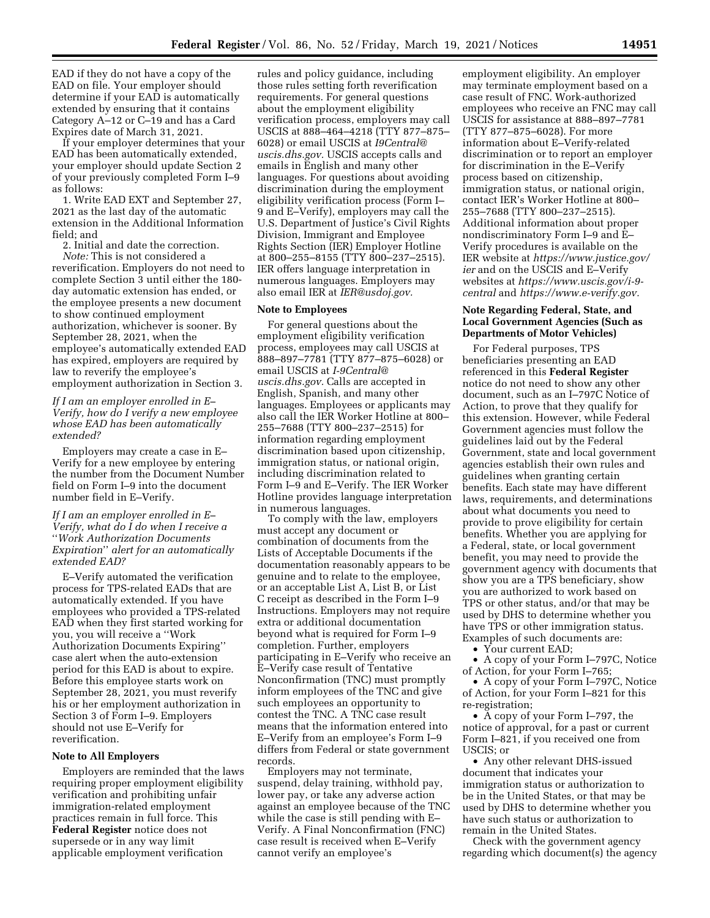EAD if they do not have a copy of the EAD on file. Your employer should determine if your EAD is automatically extended by ensuring that it contains Category A–12 or C–19 and has a Card Expires date of March 31, 2021.

If your employer determines that your EAD has been automatically extended, your employer should update Section 2 of your previously completed Form I–9 as follows:

1. Write EAD EXT and September 27, 2021 as the last day of the automatic extension in the Additional Information field; and

2. Initial and date the correction.

*Note:* This is not considered a reverification. Employers do not need to complete Section 3 until either the 180 day automatic extension has ended, or the employee presents a new document to show continued employment authorization, whichever is sooner. By September 28, 2021, when the employee's automatically extended EAD has expired, employers are required by law to reverify the employee's employment authorization in Section 3.

*If I am an employer enrolled in E– Verify, how do I verify a new employee whose EAD has been automatically extended?* 

Employers may create a case in E– Verify for a new employee by entering the number from the Document Number field on Form I–9 into the document number field in E–Verify.

## *If I am an employer enrolled in E– Verify, what do I do when I receive a*  ''*Work Authorization Documents Expiration*'' *alert for an automatically extended EAD?*

E–Verify automated the verification process for TPS-related EADs that are automatically extended. If you have employees who provided a TPS-related EAD when they first started working for you, you will receive a ''Work Authorization Documents Expiring'' case alert when the auto-extension period for this EAD is about to expire. Before this employee starts work on September 28, 2021, you must reverify his or her employment authorization in Section 3 of Form I–9. Employers should not use E–Verify for reverification.

#### **Note to All Employers**

Employers are reminded that the laws requiring proper employment eligibility verification and prohibiting unfair immigration-related employment practices remain in full force. This **Federal Register** notice does not supersede or in any way limit applicable employment verification

rules and policy guidance, including those rules setting forth reverification requirements. For general questions about the employment eligibility verification process, employers may call USCIS at 888–464–4218 (TTY 877–875– 6028) or email USCIS at *[I9Central@](mailto:I9Central@uscis.dhs.gov) [uscis.dhs.gov.](mailto:I9Central@uscis.dhs.gov)* USCIS accepts calls and emails in English and many other languages. For questions about avoiding discrimination during the employment eligibility verification process (Form I– 9 and E–Verify), employers may call the U.S. Department of Justice's Civil Rights Division, Immigrant and Employee Rights Section (IER) Employer Hotline at 800–255–8155 (TTY 800–237–2515). IER offers language interpretation in numerous languages. Employers may also email IER at *[IER@usdoj.gov.](mailto:IER@usdoj.gov)* 

#### **Note to Employees**

For general questions about the employment eligibility verification process, employees may call USCIS at 888–897–7781 (TTY 877–875–6028) or email USCIS at *[I-9Central@](mailto:I-9Central@uscis.dhs.gov) [uscis.dhs.gov.](mailto:I-9Central@uscis.dhs.gov)* Calls are accepted in English, Spanish, and many other languages. Employees or applicants may also call the IER Worker Hotline at 800– 255–7688 (TTY 800–237–2515) for information regarding employment discrimination based upon citizenship, immigration status, or national origin, including discrimination related to Form I–9 and E–Verify. The IER Worker Hotline provides language interpretation in numerous languages.

To comply with the law, employers must accept any document or combination of documents from the Lists of Acceptable Documents if the documentation reasonably appears to be genuine and to relate to the employee, or an acceptable List A, List B, or List C receipt as described in the Form I–9 Instructions. Employers may not require extra or additional documentation beyond what is required for Form I–9 completion. Further, employers participating in E–Verify who receive an E–Verify case result of Tentative Nonconfirmation (TNC) must promptly inform employees of the TNC and give such employees an opportunity to contest the TNC. A TNC case result means that the information entered into E–Verify from an employee's Form I–9 differs from Federal or state government records.

Employers may not terminate, suspend, delay training, withhold pay, lower pay, or take any adverse action against an employee because of the TNC while the case is still pending with E– Verify. A Final Nonconfirmation (FNC) case result is received when E–Verify cannot verify an employee's

employment eligibility. An employer may terminate employment based on a case result of FNC. Work-authorized employees who receive an FNC may call USCIS for assistance at 888–897–7781 (TTY 877–875–6028). For more information about E–Verify-related discrimination or to report an employer for discrimination in the E–Verify process based on citizenship, immigration status, or national origin, contact IER's Worker Hotline at 800– 255–7688 (TTY 800–237–2515). Additional information about proper nondiscriminatory Form I–9 and E– Verify procedures is available on the IER website at *[https://www.justice.gov/](https://www.justice.gov/ier) [ier](https://www.justice.gov/ier)* and on the USCIS and E–Verify websites at *[https://www.uscis.gov/i-9](https://www.uscis.gov/i-9-central) [central](https://www.uscis.gov/i-9-central)* and *[https://www.e-verify.gov.](https://www.e-verify.gov)* 

### **Note Regarding Federal, State, and Local Government Agencies (Such as Departments of Motor Vehicles)**

For Federal purposes, TPS beneficiaries presenting an EAD referenced in this **Federal Register**  notice do not need to show any other document, such as an I–797C Notice of Action, to prove that they qualify for this extension. However, while Federal Government agencies must follow the guidelines laid out by the Federal Government, state and local government agencies establish their own rules and guidelines when granting certain benefits. Each state may have different laws, requirements, and determinations about what documents you need to provide to prove eligibility for certain benefits. Whether you are applying for a Federal, state, or local government benefit, you may need to provide the government agency with documents that show you are a TPS beneficiary, show you are authorized to work based on TPS or other status, and/or that may be used by DHS to determine whether you have TPS or other immigration status. Examples of such documents are:

• Your current EAD;

• A copy of your Form I–797C, Notice of Action, for your Form I–765;

• A copy of your Form I–797C, Notice of Action, for your Form I–821 for this re-registration;

• A copy of your Form I–797, the notice of approval, for a past or current Form I–821, if you received one from  $USCIS$ ; or

• Any other relevant DHS-issued document that indicates your immigration status or authorization to be in the United States, or that may be used by DHS to determine whether you have such status or authorization to remain in the United States.

Check with the government agency regarding which document(s) the agency